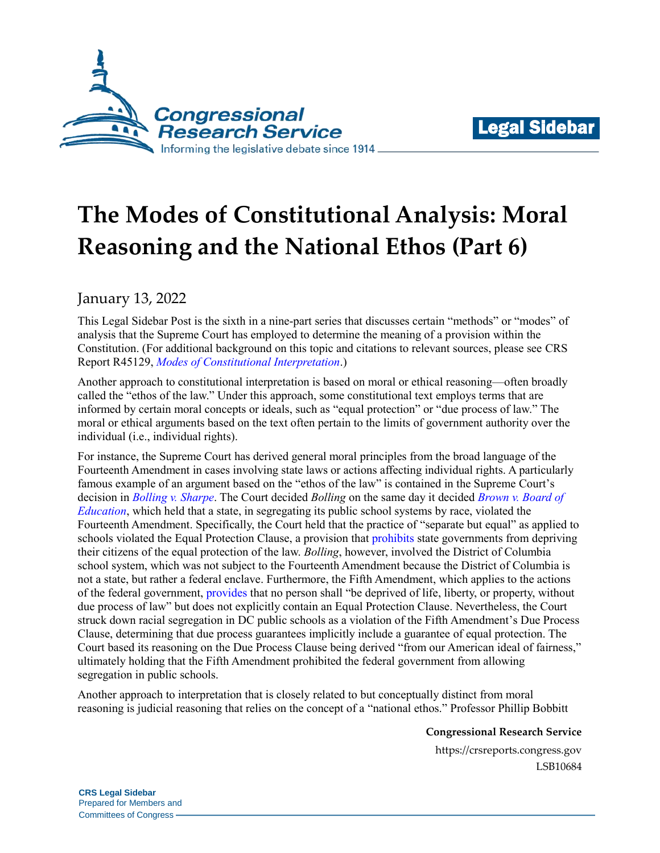



# **The Modes of Constitutional Analysis: Moral Reasoning and the National Ethos (Part 6)**

## January 13, 2022

This Legal Sidebar Post is the sixth in a nine-part series that discusses certain "methods" or "modes" of analysis that the Supreme Court has employed to determine the meaning of a provision within the Constitution. (For additional background on this topic and citations to relevant sources, please see CRS Report R45129, *[Modes of Constitutional Interpretation](https://crsreports.congress.gov/product/pdf/R/R45129)*.)

Another approach to constitutional interpretation is based on moral or ethical reasoning—often broadly called the "ethos of the law." Under this approach, some constitutional text employs terms that are informed by certain moral concepts or ideals, such as "equal protection" or "due process of law." The moral or ethical arguments based on the text often pertain to the limits of government authority over the individual (i.e., individual rights).

For instance, the Supreme Court has derived general moral principles from the broad language of the Fourteenth Amendment in cases involving state laws or actions affecting individual rights. A particularly famous example of an argument based on the "ethos of the law" is contained in the Supreme Court's decision in *[Bolling v. Sharpe](https://supreme.justia.com/cases/federal/us/347/497/)*. The Court decided *Bolling* on the same day it decided *[Brown v. Board of](https://supreme.justia.com/cases/federal/us/347/483/)  [Education](https://supreme.justia.com/cases/federal/us/347/483/)*, which held that a state, in segregating its public school systems by race, violated the Fourteenth Amendment. Specifically, the Court held that the practice of "separate but equal" as applied to schools violated the Equal Protection Clause, a provision that [prohibits](https://constitution.congress.gov/browse/amendment-14/) state governments from depriving their citizens of the equal protection of the law. *Bolling*, however, involved the District of Columbia school system, which was not subject to the Fourteenth Amendment because the District of Columbia is not a state, but rather a federal enclave. Furthermore, the Fifth Amendment, which applies to the actions of the federal government, [provides](https://constitution.congress.gov/browse/amendment-5/) that no person shall "be deprived of life, liberty, or property, without due process of law" but does not explicitly contain an Equal Protection Clause. Nevertheless, the Court struck down racial segregation in DC public schools as a violation of the Fifth Amendment's Due Process Clause, determining that due process guarantees implicitly include a guarantee of equal protection. The Court based its reasoning on the Due Process Clause being derived "from our American ideal of fairness," ultimately holding that the Fifth Amendment prohibited the federal government from allowing segregation in public schools.

Another approach to interpretation that is closely related to but conceptually distinct from moral reasoning is judicial reasoning that relies on the concept of a "national ethos." Professor Phillip Bobbitt

#### **Congressional Research Service**

https://crsreports.congress.gov LSB10684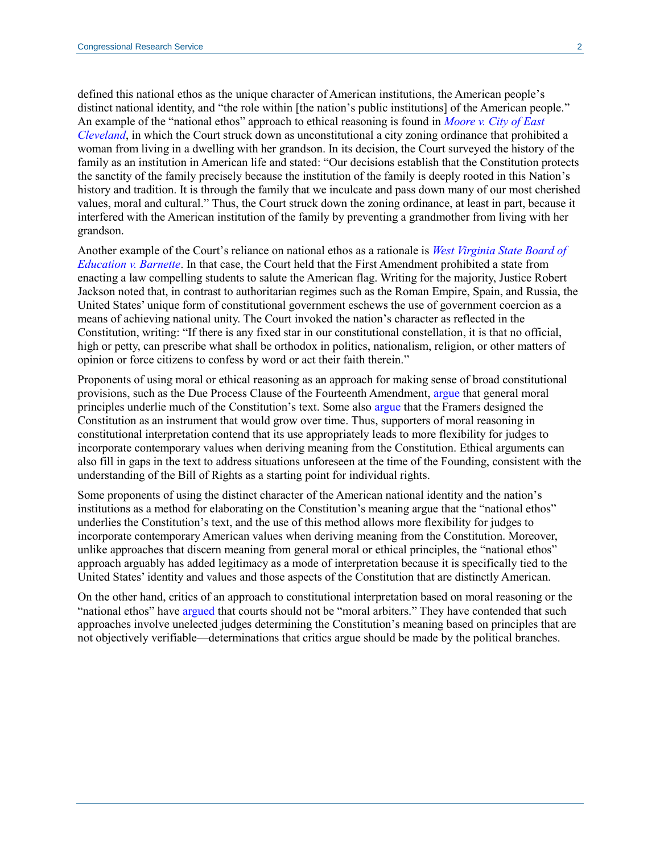defined this national ethos as the unique character of American institutions, the American people's distinct national identity, and "the role within [the nation's public institutions] of the American people." An example of the "national ethos" approach to ethical reasoning is found in *[Moore v. City of East](https://supreme.justia.com/cases/federal/us/431/494/)  [Cleveland](https://supreme.justia.com/cases/federal/us/431/494/)*, in which the Court struck down as unconstitutional a city zoning ordinance that prohibited a woman from living in a dwelling with her grandson. In its decision, the Court surveyed the history of the family as an institution in American life and stated: "Our decisions establish that the Constitution protects the sanctity of the family precisely because the institution of the family is deeply rooted in this Nation's history and tradition. It is through the family that we inculcate and pass down many of our most cherished values, moral and cultural." Thus, the Court struck down the zoning ordinance, at least in part, because it interfered with the American institution of the family by preventing a grandmother from living with her grandson.

Another example of the Court's reliance on national ethos as a rationale is *[West Virginia State Board of](https://supreme.justia.com/cases/federal/us/319/624/)  [Education v. Barnette](https://supreme.justia.com/cases/federal/us/319/624/)*. In that case, the Court held that the First Amendment prohibited a state from enacting a law compelling students to salute the American flag. Writing for the majority, Justice Robert Jackson noted that, in contrast to authoritarian regimes such as the Roman Empire, Spain, and Russia, the United States' unique form of constitutional government eschews the use of government coercion as a means of achieving national unity. The Court invoked the nation's character as reflected in the Constitution, writing: "If there is any fixed star in our constitutional constellation, it is that no official, high or petty, can prescribe what shall be orthodox in politics, nationalism, religion, or other matters of opinion or force citizens to confess by word or act their faith therein."

Proponents of using moral or ethical reasoning as an approach for making sense of broad constitutional provisions, such as the Due Process Clause of the Fourteenth Amendment, [argue](https://www.depts.ttu.edu/westernciv/video_lectures/hadley_arkes_lecture.php) that general moral principles underlie much of the Constitution's text. Some also [argue](https://www.repository.law.indiana.edu/cgi/viewcontent.cgi?article=3321&context=ilj#page=14) that the Framers designed the Constitution as an instrument that would grow over time. Thus, supporters of moral reasoning in constitutional interpretation contend that its use appropriately leads to more flexibility for judges to incorporate contemporary values when deriving meaning from the Constitution. Ethical arguments can also fill in gaps in the text to address situations unforeseen at the time of the Founding, consistent with the understanding of the Bill of Rights as a starting point for individual rights.

Some proponents of using the distinct character of the American national identity and the nation's institutions as a method for elaborating on the Constitution's meaning argue that the "national ethos" underlies the Constitution's text, and the use of this method allows more flexibility for judges to incorporate contemporary American values when deriving meaning from the Constitution. Moreover, unlike approaches that discern meaning from general moral or ethical principles, the "national ethos" approach arguably has added legitimacy as a mode of interpretation because it is specifically tied to the United States' identity and values and those aspects of the Constitution that are distinctly American.

On the other hand, critics of an approach to constitutional interpretation based on moral reasoning or the "national ethos" have [argued](https://scholarship.law.columbia.edu/cgi/viewcontent.cgi?article=2123&context=faculty_scholarship#page=41) that courts should not be "moral arbiters." They have contended that such approaches involve unelected judges determining the Constitution's meaning based on principles that are not objectively verifiable—determinations that critics argue should be made by the political branches.